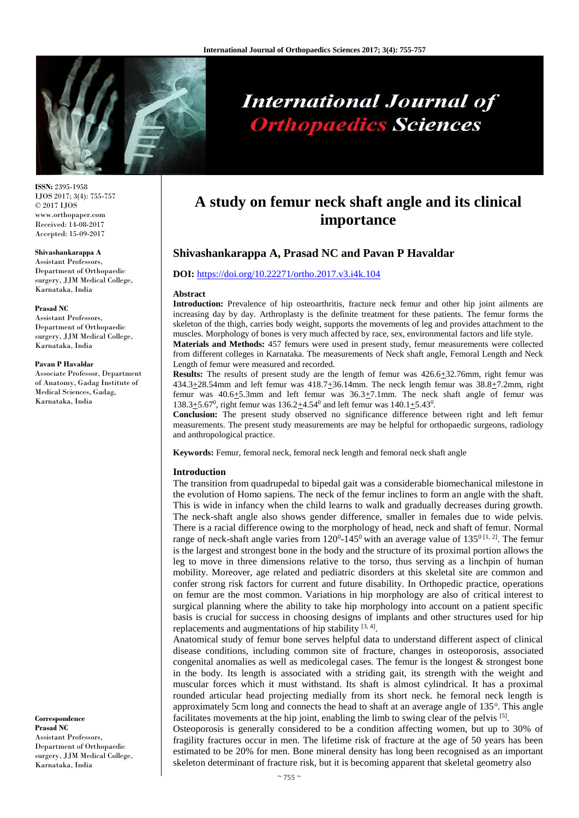

# **International Journal of Orthopaedics Sciences**

**ISSN:** 2395-1958 IJOS 2017; 3(4): 755-757 © 2017 IJOS www.orthopaper.com Received: 14-08-2017 Accepted: 15-09-2017

#### **Shivashankarappa A**

Assistant Professors, Department of Orthopaedic surgery, JJM Medical College, Karnataka, India

#### **Prasad NC**

Assistant Professors, Department of Orthopaedic surgery, JJM Medical College, Karnataka, India

#### **Pavan P Havaldar**

Associate Professor, Department of Anatomy, Gadag Institute of Medical Sciences, Gadag, Karnataka, India

**Correspondence Prasad NC** Assistant Professors, Department of Orthopaedic surgery, JJM Medical College, Karnataka, India

# **A study on femur neck shaft angle and its clinical importance**

# **Shivashankarappa A, Prasad NC and Pavan P Havaldar**

#### **DOI:** <https://doi.org/10.22271/ortho.2017.v3.i4k.104>

#### **Abstract**

**Introduction:** Prevalence of hip osteoarthritis, fracture neck femur and other hip joint ailments are increasing day by day. Arthroplasty is the definite treatment for these patients. The femur forms the skeleton of the thigh, carries body weight, supports the movements of leg and provides attachment to the muscles. Morphology of bones is very much affected by race, sex, environmental factors and life style.

**Materials and Methods:** 457 femurs were used in present study, femur measurements were collected from different colleges in Karnataka. The measurements of Neck shaft angle, Femoral Length and Neck Length of femur were measured and recorded.

**Results:** The results of present study are the length of femur was  $426.6 \pm 32.76$  mm, right femur was  $434.3\pm28.54$ mm and left femur was  $418.7\pm36.14$ mm. The neck length femur was  $38.8\pm7.2$ mm, right femur was  $40.6 \pm 5.3$ mm and left femur was  $36.3 \pm 7.1$ mm. The neck shaft angle of femur was 138.3 $\pm$ 5.67<sup>0</sup>, right femur was 136.2 $\pm$ 4.54<sup>0</sup> and left femur was 140.1 $\pm$ 5.43<sup>0</sup>.

**Conclusion:** The present study observed no significance difference between right and left femur measurements. The present study measurements are may be helpful for orthopaedic surgeons, radiology and anthropological practice.

**Keywords:** Femur, femoral neck, femoral neck length and femoral neck shaft angle

#### **Introduction**

The transition from quadrupedal to bipedal gait was a considerable biomechanical milestone in the evolution of Homo sapiens. The neck of the femur inclines to form an angle with the shaft. This is wide in infancy when the child learns to walk and gradually decreases during growth. The neck-shaft angle also shows gender difference, smaller in females due to wide pelvis. There is a racial difference owing to the morphology of head, neck and shaft of femur. Normal range of neck-shaft angle varies from  $120^0$ -145<sup>0</sup> with an average value of  $135^0$  <sup>[1, 2]</sup>. The femur is the largest and strongest bone in the body and the structure of its proximal portion allows the leg to move in three dimensions relative to the torso, thus serving as a linchpin of human mobility. Moreover, age related and pediatric disorders at this skeletal site are common and confer strong risk factors for current and future disability. In Orthopedic practice, operations on femur are the most common. Variations in hip morphology are also of critical interest to surgical planning where the ability to take hip morphology into account on a patient specific basis is crucial for success in choosing designs of implants and other structures used for hip replacements and augmentations of hip stability  $[3, 4]$ .

Anatomical study of femur bone serves helpful data to understand different aspect of clinical disease conditions, including common site of fracture, changes in osteoporosis, associated congenital anomalies as well as medicolegal cases. The femur is the longest & strongest bone in the body. Its length is associated with a striding gait, its strength with the weight and muscular forces which it must withstand. Its shaft is almost cylindrical. It has a proximal rounded articular head projecting medially from its short neck. he femoral neck length is approximately 5cm long and connects the head to shaft at an average angle of 135°. This angle facilitates movements at the hip joint, enabling the limb to swing clear of the pelvis [5].

Osteoporosis is generally considered to be a condition affecting women, but up to 30% of fragility fractures occur in men. The lifetime risk of fracture at the age of 50 years has been estimated to be 20% for men. Bone mineral density has long been recognised as an important skeleton determinant of fracture risk, but it is becoming apparent that skeletal geometry also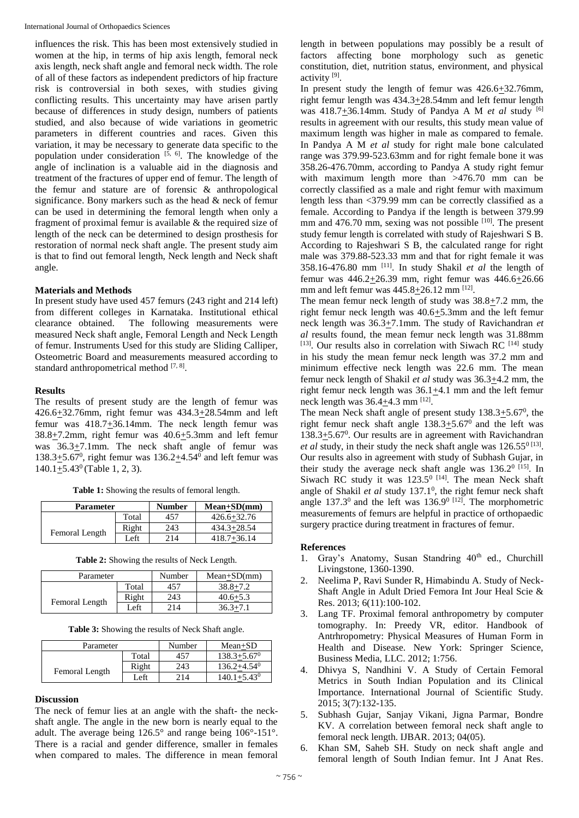influences the risk. This has been most extensively studied in women at the hip, in terms of hip axis length, femoral neck axis length, neck shaft angle and femoral neck width. The role of all of these factors as independent predictors of hip fracture risk is controversial in both sexes, with studies giving conflicting results. This uncertainty may have arisen partly because of differences in study design, numbers of patients studied, and also because of wide variations in geometric parameters in different countries and races. Given this variation, it may be necessary to generate data specific to the population under consideration  $[5, 6]$ . The knowledge of the angle of inclination is a valuable aid in the diagnosis and treatment of the fractures of upper end of femur. The length of the femur and stature are of forensic & anthropological significance. Bony markers such as the head & neck of femur can be used in determining the femoral length when only a fragment of proximal femur is available & the required size of length of the neck can be determined to design prosthesis for restoration of normal neck shaft angle. The present study aim is that to find out femoral length, Neck length and Neck shaft angle.

# **Materials and Methods**

In present study have used 457 femurs (243 right and 214 left) from different colleges in Karnataka. Institutional ethical clearance obtained. The following measurements were measured Neck shaft angle, Femoral Length and Neck Length of femur. Instruments Used for this study are Sliding Calliper, Osteometric Board and measurements measured according to standard anthropometrical method [7, 8].

# **Results**

The results of present study are the length of femur was 426.6+32.76mm, right femur was 434.3+28.54mm and left femur was  $418.7 \pm 36.14$ mm. The neck length femur was  $38.8 \pm 7.2$ mm, right femur was  $40.6 \pm 5.3$ mm and left femur was 36.3+7.1mm. The neck shaft angle of femur was 138.3 $\pm$ 5.67<sup>0</sup>, right femur was 136.2 $\pm$ 4.54<sup>0</sup> and left femur was  $140.1 \pm 5.43^{\circ}$  (Table 1, 2, 3).

|  | <b>Table 1:</b> Showing the results of femoral length. |  |
|--|--------------------------------------------------------|--|
|  |                                                        |  |

| <b>Parameter</b> |       | <b>Number</b> | $Mean+SD(mm)$   |
|------------------|-------|---------------|-----------------|
|                  | Total | 457           | $426.6 + 32.76$ |
| Femoral Length   | Right | 243           | $434.3 + 28.54$ |
|                  | Left  | 214           | $418.7 + 36.14$ |

| <b>Table 2:</b> Showing the results of Neck Length. |  |
|-----------------------------------------------------|--|
|-----------------------------------------------------|--|

| Parameter      |       | Number | $Mean+SD(mm)$ |
|----------------|-------|--------|---------------|
|                | Total | 457    | $38.8 + 7.2$  |
| Femoral Length | Right | 243    | $40.6 + 5.3$  |
|                | Left  | 214    | $36.3 + 7.1$  |

**Table 3:** Showing the results of Neck Shaft angle.

| Parameter      |       | Number | $Mean+SD$                   |
|----------------|-------|--------|-----------------------------|
|                | Total | 457    | $138.3 + 5.67$ <sup>0</sup> |
| Femoral Length | Right | 243    | $136.2 + 4.54$ <sup>0</sup> |
|                | Left  | 214    | $140.1 + 5.43$ <sup>0</sup> |

# **Discussion**

The neck of femur lies at an angle with the shaft- the neckshaft angle. The angle in the new born is nearly equal to the adult. The average being 126.5° and range being 106°-151°. There is a racial and gender difference, smaller in females when compared to males. The difference in mean femoral length in between populations may possibly be a result of factors affecting bone morphology such as genetic constitution, diet, nutrition status, environment, and physical activity<sup>[9]</sup>.

In present study the length of femur was 426.6+32.76mm, right femur length was  $434.3 \pm 28.54$ mm and left femur length was 418.7<sup>+</sup>36.14mm. Study of Pandya A M *et al* study <sup>[6]</sup> results in agreement with our results, this study mean value of maximum length was higher in male as compared to female. In Pandya A M *et al* study for right male bone calculated range was 379.99-523.63mm and for right female bone it was 358.26-476.70mm, according to Pandya A study right femur with maximum length more than >476.70 mm can be correctly classified as a male and right femur with maximum length less than <379.99 mm can be correctly classified as a female. According to Pandya if the length is between 379.99 mm and 476.70 mm, sexing was not possible [10]. The present study femur length is correlated with study of Rajeshwari S B. According to Rajeshwari S B, the calculated range for right male was 379.88-523.33 mm and that for right female it was  $358.16-476.80$  mm  $^{[11]}$ . In study Shakil *et al* the length of femur was 446.2+26.39 mm, right femur was 446.6+26.66 mm and left femur was  $445.8 \pm 26.12$  mm <sup>[12]</sup>.

The mean femur neck length of study was  $38.8 \pm 7.2$  mm, the right femur neck length was 40.6+5.3mm and the left femur neck length was 36.3+7.1mm. The study of Ravichandran *et al* results found, the mean femur neck length was 31.88mm  $[13]$ . Our results also in correlation with Siwach RC  $[14]$  study in his study the mean femur neck length was 37.2 mm and minimum effective neck length was 22.6 mm. The mean femur neck length of Shakil *et al* study was 36.3+4.2 mm, the right femur neck length was 36.1+4.1 mm and the left femur neck length was  $36.4 \pm 4.3$  mm <sup>[12]</sup>.

The mean Neck shaft angle of present study  $138.3 \pm 5.67^{\circ}$ , the right femur neck shaft angle  $138.3+5.67^{\circ}$  and the left was  $138.3 \pm 5.67^0$ . Our results are in agreement with Ravichandran *et al* study, in their study the neck shaft angle was  $126.55^{\circ}$ <sup>[13]</sup>. Our results also in agreement with study of Subhash Gujar, in their study the average neck shaft angle was  $136.2^{\circ}$  [15]. In Siwach RC study it was  $123.5^{\circ}$  [14]. The mean Neck shaft angle of Shakil et al study 137.1<sup>0</sup>, the right femur neck shaft angle  $137.3^0$  and the left was  $136.9^{\circ}$  [12]. The morphometric measurements of femurs are helpful in practice of orthopaedic surgery practice during treatment in fractures of femur.

# **References**

- 1. Gray's Anatomy, Susan Standring 40<sup>th</sup> ed., Churchill Livingstone, 1360-1390.
- 2. Neelima P, Ravi Sunder R, Himabindu A. Study of Neck-Shaft Angle in Adult Dried Femora Int Jour Heal Scie & Res. 2013; 6(11):100-102.
- 3. Lang TF. Proximal femoral anthropometry by computer tomography. In: Preedy VR, editor. Handbook of Antrhropometry: Physical Measures of Human Form in Health and Disease. New York: Springer Science, Business Media, LLC. 2012; 1:756.
- 4. Dhivya S, Nandhini V. A Study of Certain Femoral Metrics in South Indian Population and its Clinical Importance. International Journal of Scientific Study. 2015; 3(7):132-135.
- 5. Subhash Gujar, Sanjay Vikani, Jigna Parmar, Bondre KV. A correlation between femoral neck shaft angle to femoral neck length. IJBAR. 2013; 04(05).
- 6. Khan SM, Saheb SH. Study on neck shaft angle and femoral length of South Indian femur. Int J Anat Res.